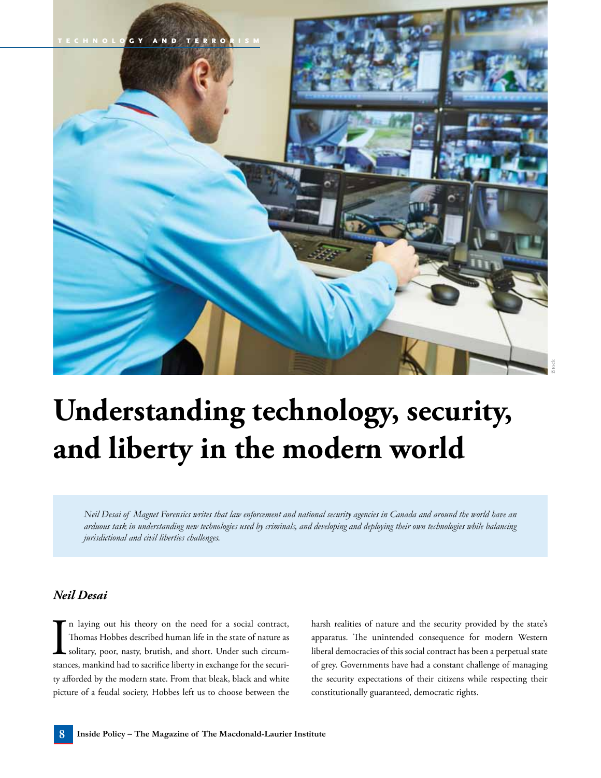

## **Understanding technology, security, and liberty in the modern world**

*Neil Desai of Magnet Forensics writes that law enforcement and national security agencies in Canada and around the world have an arduous task in understanding new technologies used by criminals, and developing and deploying their own technologies while balancing jurisdictional and civil liberties challenges.*

## *Neil Desai*

In laying out his theory on the need for a social contract,<br>Thomas Hobbes described human life in the state of nature as<br>solitary, poor, nasty, brutish, and short. Under such circum-<br>stances, mankind had to sacrifice liber n laying out his theory on the need for a social contract, Thomas Hobbes described human life in the state of nature as solitary, poor, nasty, brutish, and short. Under such circumty afforded by the modern state. From that bleak, black and white picture of a feudal society, Hobbes left us to choose between the

harsh realities of nature and the security provided by the state's apparatus. The unintended consequence for modern Western liberal democracies of this social contract has been a perpetual state of grey. Governments have had a constant challenge of managing the security expectations of their citizens while respecting their constitutionally guaranteed, democratic rights.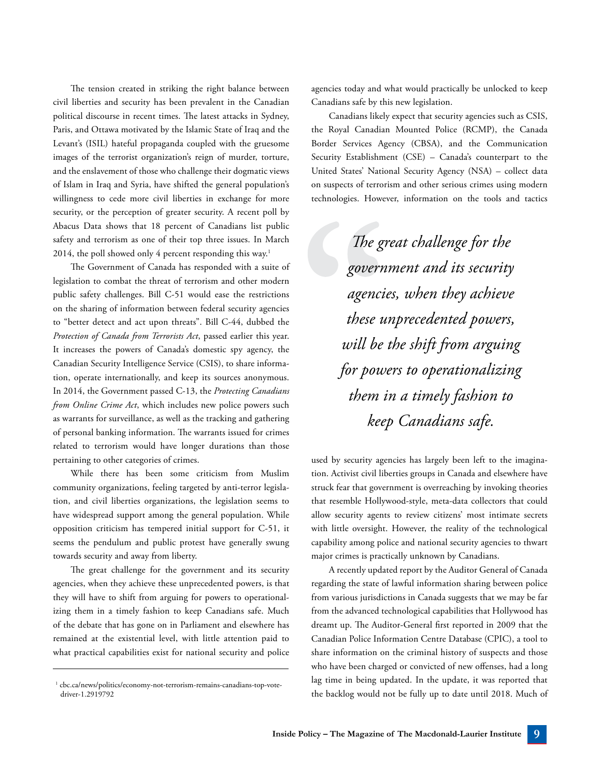The tension created in striking the right balance between civil liberties and security has been prevalent in the Canadian political discourse in recent times. The latest attacks in Sydney, Paris, and Ottawa motivated by the Islamic State of Iraq and the Levant's (ISIL) hateful propaganda coupled with the gruesome images of the terrorist organization's reign of murder, torture, and the enslavement of those who challenge their dogmatic views of Islam in Iraq and Syria, have shifted the general population's willingness to cede more civil liberties in exchange for more security, or the perception of greater security. A recent poll by Abacus Data shows that 18 percent of Canadians list public safety and terrorism as one of their top three issues. In March 2014, the poll showed only 4 percent responding this way.<sup>1</sup>

The Government of Canada has responded with a suite of legislation to combat the threat of terrorism and other modern public safety challenges. Bill C-51 would ease the restrictions on the sharing of information between federal security agencies to "better detect and act upon threats". Bill C-44, dubbed the *Protection of Canada from Terrorists Act*, passed earlier this year. It increases the powers of Canada's domestic spy agency, the Canadian Security Intelligence Service (CSIS), to share information, operate internationally, and keep its sources anonymous. In 2014, the Government passed C-13, the *Protecting Canadians from Online Crime Act*, which includes new police powers such as warrants for surveillance, as well as the tracking and gathering of personal banking information. The warrants issued for crimes related to terrorism would have longer durations than those pertaining to other categories of crimes.

While there has been some criticism from Muslim community organizations, feeling targeted by anti-terror legislation, and civil liberties organizations, the legislation seems to have widespread support among the general population. While opposition criticism has tempered initial support for C-51, it seems the pendulum and public protest have generally swung towards security and away from liberty.

The great challenge for the government and its security agencies, when they achieve these unprecedented powers, is that they will have to shift from arguing for powers to operationalizing them in a timely fashion to keep Canadians safe. Much of the debate that has gone on in Parliament and elsewhere has remained at the existential level, with little attention paid to what practical capabilities exist for national security and police

agencies today and what would practically be unlocked to keep Canadians safe by this new legislation.

Canadians likely expect that security agencies such as CSIS, the Royal Canadian Mounted Police (RCMP), the Canada Border Services Agency (CBSA), and the Communication Security Establishment (CSE) – Canada's counterpart to the United States' National Security Agency (NSA) – collect data on suspects of terrorism and other serious crimes using modern technologies. However, information on the tools and tactics

> *The great challenge for the government and its security agencies, when they achieve these unprecedented powers, will be the shift from arguing for powers to operationalizing them in a timely fashion to keep Canadians safe.*

used by security agencies has largely been left to the imagination. Activist civil liberties groups in Canada and elsewhere have struck fear that government is overreaching by invoking theories that resemble Hollywood-style, meta-data collectors that could allow security agents to review citizens' most intimate secrets with little oversight. However, the reality of the technological capability among police and national security agencies to thwart major crimes is practically unknown by Canadians.

A recently updated report by the Auditor General of Canada regarding the state of lawful information sharing between police from various jurisdictions in Canada suggests that we may be far from the advanced technological capabilities that Hollywood has dreamt up. The Auditor-General first reported in 2009 that the Canadian Police Information Centre Database (CPIC), a tool to share information on the criminal history of suspects and those who have been charged or convicted of new offenses, had a long lag time in being updated. In the update, it was reported that the backlog would not be fully up to date until 2018. Much of

<sup>&</sup>lt;sup>1</sup> cbc.ca/news/politics/economy-not-terrorism-remains-canadians-top-votedriver-1.2919792